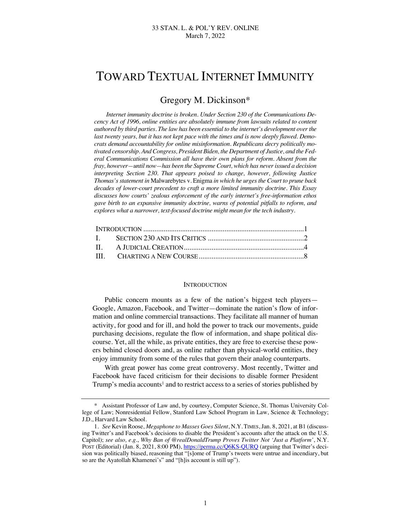# TOWARD TEXTUAL INTERNET IMMUNITY

# Gregory M. Dickinson\*

*Internet immunity doctrine is broken. Under Section 230 of the Communications Decency Act of 1996, online entities are absolutely immune from lawsuits related to content authored by third parties. The law has been essential to the internet's development over the last twenty years, but it has not kept pace with the times and is now deeply flawed. Democrats demand accountability for online misinformation. Republicans decry politically motivated censorship. And Congress, President Biden, the Department of Justice, and the Federal Communications Commission all have their own plans for reform. Absent from the fray, however—until now—has been the Supreme Court, which has never issued a decision interpreting Section 230. That appears poised to change, however, following Justice Thomas's statement in* Malwarebytes v. Enigma *in which he urges the Court to prune back decades of lower-court precedent to craft a more limited immunity doctrine. This Essay discusses how courts' zealous enforcement of the early internet's free-information ethos gave birth to an expansive immunity doctrine, warns of potential pitfalls to reform, and explores what a narrower, text-focused doctrine might mean for the tech industry.*

### **INTRODUCTION**

Public concern mounts as a few of the nation's biggest tech players— Google, Amazon, Facebook, and Twitter—dominate the nation's flow of information and online commercial transactions. They facilitate all manner of human activity, for good and for ill, and hold the power to track our movements, guide purchasing decisions, regulate the flow of information, and shape political discourse. Yet, all the while, as private entities, they are free to exercise these powers behind closed doors and, as online rather than physical-world entities, they enjoy immunity from some of the rules that govern their analog counterparts.

With great power has come great controversy. Most recently, Twitter and Facebook have faced criticism for their decisions to disable former President Trump's media accounts<sup>1</sup> and to restrict access to a series of stories published by

<sup>\*</sup> Assistant Professor of Law and, by courtesy, Computer Science, St. Thomas University College of Law; Nonresidential Fellow, Stanford Law School Program in Law, Science & Technology; J.D., Harvard Law School.

<sup>1</sup>*. See* Kevin Roose, *Megaphone to Masses Goes Silent*, N.Y. TIMES, Jan. 8, 2021, at B1 (discussing Twitter's and Facebook's decisions to disable the President's accounts after the attack on the U.S. Capitol); *see also, e.g.*, *Why Ban of @realDonaldTrump Proves Twitter Not 'Just a Platform'*, N.Y. POST (Editorial) (Jan. 8, 2021, 8:00 PM), https://perma.cc/Q6KS-QURQ (arguing that Twitter's decision was politically biased, reasoning that "[s]ome of Trump's tweets were untrue and incendiary, but so are the Ayatollah Khamenei's" and "[h]is account is still up").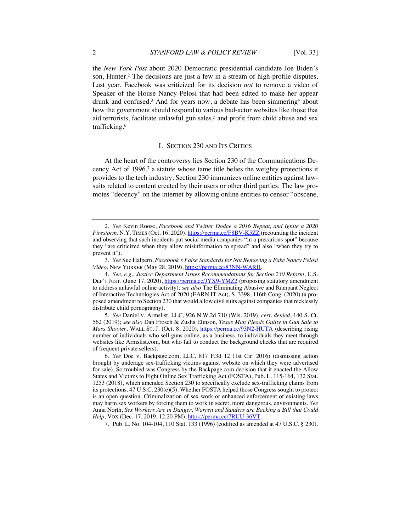the *New York Post* about 2020 Democratic presidential candidate Joe Biden's son, Hunter.<sup>2</sup> The decisions are just a few in a stream of high-profile disputes. Last year, Facebook was criticized for its decision *not* to remove a video of Speaker of the House Nancy Pelosi that had been edited to make her appear drunk and confused.<sup>3</sup> And for years now, a debate has been simmering<sup>4</sup> about how the government should respond to various bad-actor websites like those that aid terrorists, facilitate unlawful gun sales,<sup>5</sup> and profit from child abuse and sex trafficking.6

## I. SECTION 230 AND ITS CRITICS

At the heart of the controversy lies Section 230 of the Communications Decency Act of  $1996$ ,<sup>7</sup> a statute whose tame title belies the weighty protections it provides to the tech industry. Section 230 immunizes online entities against lawsuits related to content created by their users or other third parties: The law promotes "decency" on the internet by allowing online entities to censor "obscene,

7. Pub. L. No. 104-104, 110 Stat. 133 (1996) (codified as amended at 47 U.S.C. § 230).

<sup>2</sup>*. See* Kevin Roose, *Facebook and Twitter Dodge a 2016 Repeat, and Ignite a 2020 Firestorm*, N.Y. TIMES (Oct. 16, 2020), https://perma.cc/F8BV-K5ZZ (recounting the incident and observing that such incidents put social media companies "in a precarious spot" because they "are criticized when they allow misinformation to spread" and also "when they try to prevent it").

<sup>3</sup>*. See* Sue Halpern, *Facebook's False Standards for Not Removing a Fake Nancy Pelosi Video*, NEW YORKER (May 28, 2019), https://perma.cc/83NN-WARH.

<sup>4</sup>*. See, e.g.*, *Justice Department Issues Recommendations for Section 230 Reform*, U.S. DEP'T JUST. (June 17, 2020), https://perma.cc/JYX9-YMZ2 (proposing statutory amendment to address unlawful online activity); *see also* The Eliminating Abusive and Rampant Neglect of Interactive Technologies Act of 2020 (EARN IT Act), S. 3398, 116th Cong. (2020) (a proposed amendment to Section 230 that would allow civil suits against companies that recklessly distribute child pornography).

<sup>5</sup>*. See* Daniel v. Armslist, LLC, 926 N.W.2d 710 (Wis. 2019), *cert. denied*, 140 S. Ct. 562 (2019); *see also* Dan Frosch & Zusha Elinson, *Texas Man Pleads Guilty in Gun Sale to Mass Shooter*, WALL ST. J. (Oct. 8, 2020), https://perma.cc/93N2-HUTA (describing rising number of individuals who sell guns online, as a business, to individuals they meet through websites like Armslist.com, but who fail to conduct the background checks that are required of frequent private sellers).

<sup>6</sup>*. See* Doe v. Backpage.com, LLC, 817 F.3d 12 (1st Cir. 2016) (dismissing action brought by underage sex-trafficking victims against website on which they were advertised for sale). So troubled was Congress by the Backpage.com decision that it enacted the Allow States and Victims to Fight Online Sex Trafficking Act (FOSTA), Pub. L. 115-164, 132 Stat. 1253 (2018), which amended Section 230 to specifically exclude sex-trafficking claims from its protections. 47 U.S.C. 230(e)(5). Whether FOSTA helped those Congress sought to protect is an open question. Criminalization of sex work or enhanced enforcement of existing laws may harm sex workers by forcing them to work in secret, more dangerous, environments. *See*  Anna North, *Sex Workers Are in Danger. Warren and Sanders are Backing a Bill that Could Help*, VOX (Dec. 17, 2019, 12:20 PM), https://perma.cc/7RUU-36VT.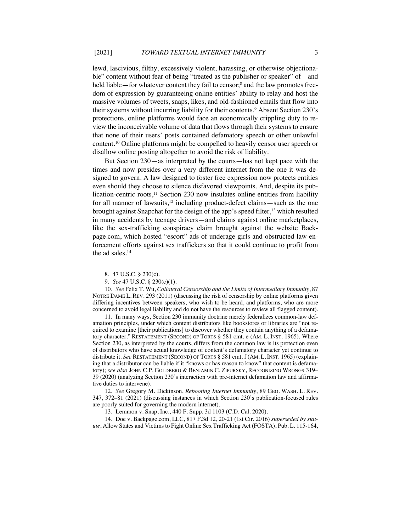lewd, lascivious, filthy, excessively violent, harassing, or otherwise objectionable" content without fear of being "treated as the publisher or speaker" of—and held liable—for whatever content they fail to censor;<sup>8</sup> and the law promotes freedom of expression by guaranteeing online entities' ability to relay and host the massive volumes of tweets, snaps, likes, and old-fashioned emails that flow into their systems without incurring liability for their contents.<sup>9</sup> Absent Section 230's protections, online platforms would face an economically crippling duty to review the inconceivable volume of data that flows through their systems to ensure that none of their users' posts contained defamatory speech or other unlawful content.10 Online platforms might be compelled to heavily censor user speech or disallow online posting altogether to avoid the risk of liability.

But Section 230—as interpreted by the courts—has not kept pace with the times and now presides over a very different internet from the one it was designed to govern. A law designed to foster free expression now protects entities even should they choose to silence disfavored viewpoints. And, despite its publication-centric roots, $<sup>11</sup>$  Section 230 now insulates online entities from liability</sup> for all manner of lawsuits,<sup>12</sup> including product-defect claims—such as the one brought against Snapchat for the design of the app's speed filter,<sup>13</sup> which resulted in many accidents by teenage drivers—and claims against online marketplaces, like the sex-trafficking conspiracy claim brought against the website Backpage.com, which hosted "escort" ads of underage girls and obstructed law-enforcement efforts against sex traffickers so that it could continue to profit from the ad sales.14

11. In many ways, Section 230 immunity doctrine merely federalizes common-law defamation principles, under which content distributors like bookstores or libraries are "not required to examine [their publications] to discover whether they contain anything of a defamatory character." RESTATEMENT (SECOND) OF TORTS § 581 cmt. e (AM. L. INST. 1965). Where Section 230, as interpreted by the courts, differs from the common law is its protection even of distributors who have actual knowledge of content's defamatory character yet continue to distribute it. *See* RESTATEMENT (SECOND) OF TORTS § 581 cmt. f (AM. L. INST. 1965) (explaining that a distributor can be liable if it "knows or has reason to know" that content is defamatory); *see also* JOHN C.P. GOLDBERG & BENJAMIN C. ZIPURSKY, RECOGNIZING WRONGS 319– 39 (2020) (analyzing Section 230's interaction with pre-internet defamation law and affirmative duties to intervene).

12*. See* Gregory M. Dickinson, *Rebooting Internet Immunity*, 89 GEO. WASH. L. REV. 347, 372–81 (2021) (discussing instances in which Section 230's publication-focused rules are poorly suited for governing the modern internet).

13. Lemmon v. Snap, Inc., 440 F. Supp. 3d 1103 (C.D. Cal. 2020).

14. Doe v. Backpage.com, LLC, 817 F.3d 12, 20-21 (1st Cir. 2016) *superseded by statute*, Allow States and Victims to Fight Online Sex Trafficking Act (FOSTA), Pub. L. 115-164,

<sup>8.</sup> 47 U.S.C. § 230(c).

<sup>9</sup>*. See* 47 U.S.C. § 230(c)(1).

<sup>10</sup>*. See* Felix T. Wu, *Collateral Censorship and the Limits of Intermediary Immunity*, 87 NOTRE DAME L. REV. 293 (2011) (discussing the risk of censorship by online platforms given differing incentives between speakers, who wish to be heard, and platforms, who are more concerned to avoid legal liability and do not have the resources to review all flagged content).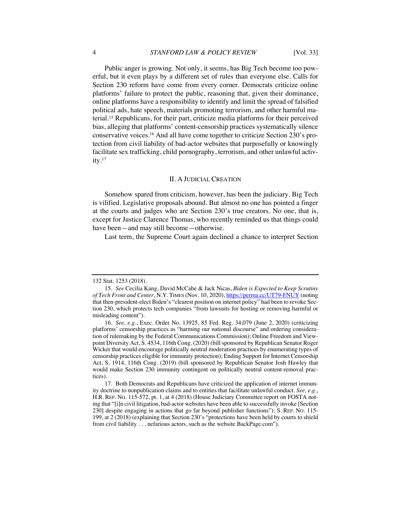#### 4 *STANFORD LAW & POLICY REVIEW* [Vol. 33]

Public anger is growing. Not only, it seems, has Big Tech become too powerful, but it even plays by a different set of rules than everyone else. Calls for Section 230 reform have come from every corner. Democrats criticize online platforms' failure to protect the public, reasoning that, given their dominance, online platforms have a responsibility to identify and limit the spread of falsified political ads, hate speech, materials promoting terrorism, and other harmful material.15 Republicans, for their part, criticize media platforms for their perceived bias, alleging that platforms' content-censorship practices systematically silence conservative voices.16 And all have come together to criticize Section 230's protection from civil liability of bad-actor websites that purposefully or knowingly facilitate sex trafficking, child pornography, terrorism, and other unlawful activity.17

#### II. A JUDICIAL CREATION

Somehow spared from criticism, however, has been the judiciary. Big Tech is vilified. Legislative proposals abound. But almost no one has pointed a finger at the courts and judges who are Section 230's true creators. No one, that is, except for Justice Clarence Thomas, who recently reminded us that things could have been—and may still become—otherwise.

Last term, the Supreme Court again declined a chance to interpret Section

<sup>132</sup> Stat. 1253 (2018).

<sup>15</sup>*. See* Cecilia Kang, David McCabe & Jack Nicas, *Biden is Expected to Keep Scrutiny of Tech Front and Center*, N.Y. TIMES (Nov. 10, 2020), https://perma.cc/UT79-FNUY (noting that then-president-elect Biden's "clearest position on internet policy" had been to revoke Section 230, which protects tech companies "from lawsuits for hosting or removing harmful or misleading content").

<sup>16</sup>*. See, e.g.*, Exec. Order No. 13925, 85 Fed. Reg. 34,079 (June 2, 2020) (criticizing platforms' censorship practices as "harming our national discourse" and ordering consideration of rulemaking by the Federal Communications Commission); Online Freedom and Viewpoint Diversity Act, S. 4534, 116th Cong. (2020) (bill sponsored by Republican Senator Roger Wicker that would encourage politically neutral moderation practices by enumerating types of censorship practices eligible for immunity protection); Ending Support for Internet Censorship Act, S. 1914, 116th Cong. (2019) (bill sponsored by Republican Senator Josh Hawley that would make Section 230 immunity contingent on politically neutral content-removal practices).

<sup>17.</sup> Both Democrats and Republicans have criticized the application of internet immunity doctrine to nonpublication claims and to entities that facilitate unlawful conduct. *See, e.g.*, H.R. REP. NO. 115-572, pt. 1, at 4 (2018) (House Judiciary Committee report on FOSTA noting that "[i]n civil litigation, bad-actor websites have been able to successfully invoke [Section 230] despite engaging in actions that go far beyond publisher functions"); S. REP. NO. 115- 199, at 2 (2018) (explaining that Section 230's "protections have been held by courts to shield from civil liability . . . nefarious actors, such as the website BackPage.com").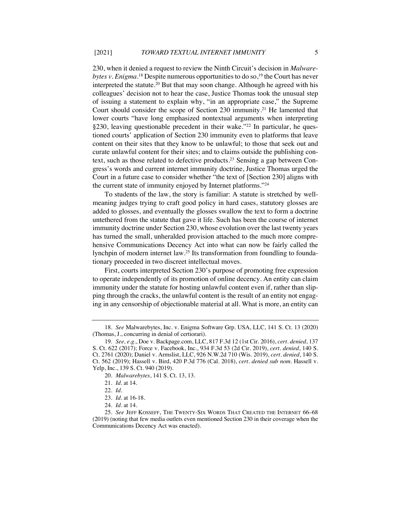230, when it denied a request to review the Ninth Circuit's decision in *Malware*bytes v. Enigma.<sup>18</sup> Despite numerous opportunities to do so,<sup>19</sup> the Court has never interpreted the statute.20 But that may soon change. Although he agreed with his colleagues' decision not to hear the case, Justice Thomas took the unusual step of issuing a statement to explain why, "in an appropriate case," the Supreme Court should consider the scope of Section 230 immunity.21 He lamented that lower courts "have long emphasized nontextual arguments when interpreting §230, leaving questionable precedent in their wake."<sup>22</sup> In particular, he questioned courts' application of Section 230 immunity even to platforms that leave content on their sites that they know to be unlawful; to those that seek out and curate unlawful content for their sites; and to claims outside the publishing context, such as those related to defective products.23 Sensing a gap between Congress's words and current internet immunity doctrine, Justice Thomas urged the Court in a future case to consider whether "the text of [Section 230] aligns with the current state of immunity enjoyed by Internet platforms."24

To students of the law, the story is familiar: A statute is stretched by wellmeaning judges trying to craft good policy in hard cases, statutory glosses are added to glosses, and eventually the glosses swallow the text to form a doctrine untethered from the statute that gave it life. Such has been the course of internet immunity doctrine under Section 230, whose evolution over the last twenty years has turned the small, unheralded provision attached to the much more comprehensive Communications Decency Act into what can now be fairly called the lynchpin of modern internet law.<sup>25</sup> Its transformation from foundling to foundationary proceeded in two discreet intellectual moves.

First, courts interpreted Section 230's purpose of promoting free expression to operate independently of its promotion of online decency. An entity can claim immunity under the statute for hosting unlawful content even if, rather than slipping through the cracks, the unlawful content is the result of an entity not engaging in any censorship of objectionable material at all. What is more, an entity can

24*. Id.* at 14.

<sup>18</sup>*. See* Malwarebytes, Inc. v. Enigma Software Grp. USA, LLC, 141 S. Ct. 13 (2020) (Thomas, J., concurring in denial of certiorari).

<sup>19</sup>*. See, e.g.*, Doe v. Backpage.com, LLC, 817 F.3d 12 (1st Cir. 2016), *cert. denied*, 137 S. Ct. 622 (2017); Force v. Facebook, Inc., 934 F.3d 53 (2d Cir. 2019), *cert. denied*, 140 S. Ct. 2761 (2020); Daniel v. Armslist, LLC, 926 N.W.2d 710 (Wis. 2019), *cert. denied*, 140 S. Ct. 562 (2019); Hassell v. Bird, 420 P.3d 776 (Cal. 2018), *cert. denied sub nom*. Hassell v. Yelp, Inc., 139 S. Ct. 940 (2019).

<sup>20</sup>*. Malwarebytes*, 141 S. Ct. 13, 13.

<sup>21</sup>*. Id.* at 14.

<sup>22</sup>*. Id.*

<sup>23</sup>*. Id.* at 16-18.

<sup>25</sup>*. See* JEFF KOSSEFF, THE TWENTY-SIX WORDS THAT CREATED THE INTERNET 66–68 (2019) (noting that few media outlets even mentioned Section 230 in their coverage when the Communications Decency Act was enacted).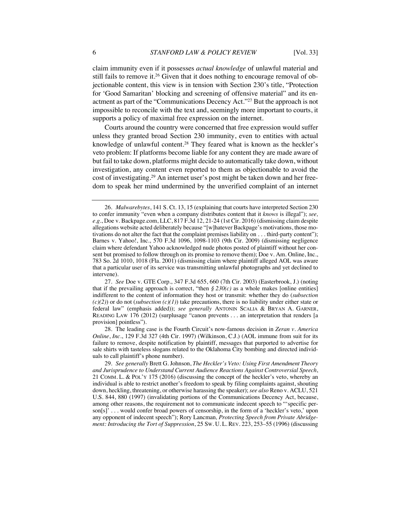claim immunity even if it possesses *actual knowledge* of unlawful material and still fails to remove it.<sup>26</sup> Given that it does nothing to encourage removal of objectionable content, this view is in tension with Section 230's title, "Protection for 'Good Samaritan' blocking and screening of offensive material" and its enactment as part of the "Communications Decency Act."27 But the approach is not impossible to reconcile with the text and, seemingly more important to courts, it supports a policy of maximal free expression on the internet.

Courts around the country were concerned that free expression would suffer unless they granted broad Section 230 immunity, even to entities with actual knowledge of unlawful content.28 They feared what is known as the heckler's veto problem: If platforms become liable for any content they are made aware of but fail to take down, platforms might decide to automatically take down, without investigation, any content even reported to them as objectionable to avoid the cost of investigating.29 An internet user's post might be taken down and her freedom to speak her mind undermined by the unverified complaint of an internet

28. The leading case is the Fourth Circuit's now-famous decision in *Zeran v. America Online*, *Inc.*, 129 F.3d 327 (4th Cir. 1997) (Wilkinson, C.J.) (AOL immune from suit for its failure to remove, despite notification by plaintiff, messages that purported to advertise for sale shirts with tasteless slogans related to the Oklahoma City bombing and directed individuals to call plaintiff's phone number).

29*. See generally* Brett G. Johnson, *The Heckler's Veto: Using First Amendment Theory and Jurisprudence to Understand Current Audience Reactions Against Controversial Speech*, 21 COMM. L. & POL'Y 175 (2016) (discussing the concept of the heckler's veto, whereby an individual is able to restrict another's freedom to speak by filing complaints against, shouting down, heckling, threatening, or otherwise harassing the speaker); *see also* Reno v. ACLU, 521 U.S. 844, 880 (1997) (invalidating portions of the Communications Decency Act, because, among other reasons, the requirement not to communicate indecent speech to "'specific person[s]' . . . would confer broad powers of censorship, in the form of a 'heckler's veto,' upon any opponent of indecent speech"); Rory Lancman*, Protecting Speech from Private Abridgement: Introducing the Tort of Suppression*, 25 SW. U. L. REV. 223, 253–55 (1996) (discussing

<sup>26</sup>*. Malwarebytes*, 141 S. Ct. 13, 15 (explaining that courts have interpreted Section 230 to confer immunity "even when a company distributes content that it *knows* is illegal"); *see, e.g.*, Doe v. Backpage.com, LLC, 817 F.3d 12, 21-24 (1st Cir. 2016) (dismissing claim despite allegations website acted deliberately because "[w]hatever Backpage's motivations, those motivations do not alter the fact that the complaint premises liability on . . . third-party content"); Barnes v. Yahoo!, Inc., 570 F.3d 1096, 1098-1103 (9th Cir. 2009) (dismissing negligence claim where defendant Yahoo acknowledged nude photos posted of plaintiff without her consent but promised to follow through on its promise to remove them); Doe v. Am. Online, Inc., 783 So. 2d 1010, 1018 (Fla. 2001) (dismissing claim where plaintiff alleged AOL was aware that a particular user of its service was transmitting unlawful photographs and yet declined to intervene).

<sup>27</sup>*. See* Doe v. GTE Corp., 347 F.3d 655, 660 (7th Cir. 2003) (Easterbrook, J.) (noting that if the prevailing approach is correct, "then  $\frac{6}{2}$  *230(c)* as a whole makes [online entities] indifferent to the content of information they host or transmit: whether they do (*subsection*   $(c)(2)$  or do not (*subsection*  $(c)(1)$ ) take precautions, there is no liability under either state or federal law" (emphasis added)); *see generally* ANTONIN SCALIA & BRYAN A. GARNER, READING LAW 176 (2012) (surplusage "canon prevents . . . an interpretation that renders [a provision] pointless").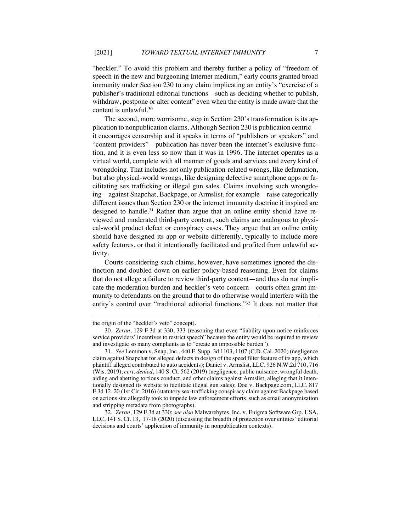"heckler." To avoid this problem and thereby further a policy of "freedom of speech in the new and burgeoning Internet medium," early courts granted broad immunity under Section 230 to any claim implicating an entity's "exercise of a publisher's traditional editorial functions—such as deciding whether to publish, withdraw, postpone or alter content" even when the entity is made aware that the content is unlawful.30

The second, more worrisome, step in Section 230's transformation is its application to nonpublication claims. Although Section 230 is publication centric it encourages censorship and it speaks in terms of "publishers or speakers" and "content providers"—publication has never been the internet's exclusive function, and it is even less so now than it was in 1996. The internet operates as a virtual world, complete with all manner of goods and services and every kind of wrongdoing. That includes not only publication-related wrongs, like defamation, but also physical-world wrongs, like designing defective smartphone apps or facilitating sex trafficking or illegal gun sales. Claims involving such wrongdoing—against Snapchat, Backpage, or Armslist, for example—raise categorically different issues than Section 230 or the internet immunity doctrine it inspired are designed to handle.<sup>31</sup> Rather than argue that an online entity should have reviewed and moderated third-party content, such claims are analogous to physical-world product defect or conspiracy cases. They argue that an online entity should have designed its app or website differently, typically to include more safety features, or that it intentionally facilitated and profited from unlawful activity.

Courts considering such claims, however, have sometimes ignored the distinction and doubled down on earlier policy-based reasoning. Even for claims that do not allege a failure to review third-party content—and thus do not implicate the moderation burden and heckler's veto concern—courts often grant immunity to defendants on the ground that to do otherwise would interfere with the entity's control over "traditional editorial functions."32 It does not matter that

the origin of the "heckler's veto" concept).

<sup>30</sup>*. Zeran*, 129 F.3d at 330, 333 (reasoning that even "liability upon notice reinforces service providers' incentives to restrict speech" because the entity would be required to review and investigate so many complaints as to "create an impossible burden").

<sup>31</sup>*. See* Lemmon v. Snap, Inc., 440 F. Supp. 3d 1103, 1107 (C.D. Cal. 2020) (negligence claim against Snapchat for alleged defects in design of the speed filter feature of its app, which plaintiff alleged contributed to auto accidents); Daniel v. Armslist, LLC, 926 N.W.2d 710, 716 (Wis. 2019), *cert. denied*, 140 S. Ct. 562 (2019) (negligence, public nuisance, wrongful death, aiding and abetting tortious conduct, and other claims against Armslist, alleging that it intentionally designed its website to facilitate illegal gun sales); Doe v. Backpage.com, LLC, 817 F.3d 12, 20 (1st Cir. 2016) (statutory sex-trafficking conspiracy claim against Backpage based on actions site allegedly took to impede law enforcement efforts, such as email anonymization and stripping metadata from photographs).

<sup>32</sup>*. Zeran*, 129 F.3d at 330; *see also* Malwarebytes, Inc. v. Enigma Software Grp. USA, LLC, 141 S. Ct. 13, 17-18 (2020) (discussing the breadth of protection over entities' editorial decisions and courts' application of immunity in nonpublication contexts).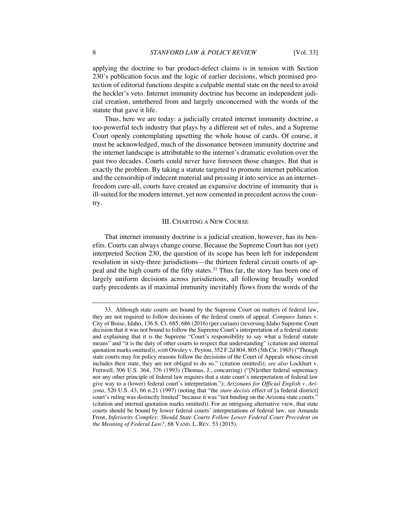applying the doctrine to bar product-defect claims is in tension with Section 230's publication focus and the logic of earlier decisions, which premised protection of editorial functions despite a culpable mental state on the need to avoid the heckler's veto. Internet immunity doctrine has become an independent judicial creation, untethered from and largely unconcerned with the words of the statute that gave it life.

Thus, here we are today: a judicially created internet immunity doctrine, a too-powerful tech industry that plays by a different set of rules, and a Supreme Court openly contemplating upsetting the whole house of cards. Of course, it must be acknowledged, much of the dissonance between immunity doctrine and the internet landscape is attributable to the internet's dramatic evolution over the past two decades. Courts could never have foreseen those changes. But that is exactly the problem. By taking a statute targeted to promote internet publication and the censorship of indecent material and pressing it into service as an internetfreedom cure-all, courts have created an expansive doctrine of immunity that is ill-suited for the modern internet, yet now cemented in precedent across the country.

# III. CHARTING A NEW COURSE

That internet immunity doctrine is a judicial creation, however, has its benefits. Courts can always change course. Because the Supreme Court has not (yet) interpreted Section 230, the question of its scope has been left for independent resolution in sixty-three jurisdictions—the thirteen federal circuit courts of appeal and the high courts of the fifty states.33 Thus far, the story has been one of largely uniform decisions across jurisdictions, all following broadly worded early precedents as if maximal immunity inevitably flows from the words of the

<sup>33.</sup> Although state courts are bound by the Supreme Court on matters of federal law, they are not required to follow decisions of the federal courts of appeal. *Compare* James v. City of Boise, Idaho, 136 S. Ct. 685, 686 (2016) (per curiam) (reversing Idaho Supreme Court decision that it was not bound to follow the Supreme Court's interpretation of a federal statute and explaining that it is the Supreme "Court's responsibility to say what a federal statute means" and "it is the duty of other courts to respect that understanding" (citation and internal quotation marks omitted)), *with* Owsley v. Peyton, 352 F.2d 804, 805 (5th Cir. 1965) ("Though state courts may for policy reasons follow the decisions of the Court of Appeals whose circuit includes their state, they are not obliged to do so." (citation omitted)); *see also* Lockhart v. Fretwell, 506 U.S. 364, 376 (1993) (Thomas, J., concurring) ("[N]either federal supremacy nor any other principle of federal law requires that a state court's interpretation of federal law give way to a (lower) federal court's interpretation."); *Arizonans for Official English v. Arizona*, 520 U.S. 43, 66 n.21 (1997) (noting that "the *stare decisis* effect of [a federal district] court's ruling was distinctly limited" because it was "not binding on the Arizona state courts." (citation and internal quotation marks omitted)). For an intriguing alternative view, that state courts should be bound by lower federal courts' interpretations of federal law, see Amanda Frost, *Inferiority Complex: Should State Courts Follow Lower Federal Court Precedent on the Meaning of Federal Law?*, 68 VAND. L. REV. 53 (2015).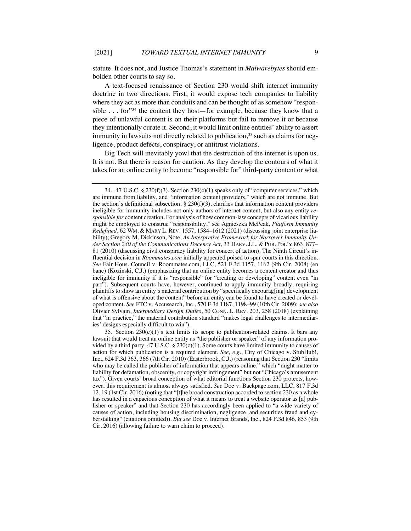statute. It does not, and Justice Thomas's statement in *Malwarebytes* should embolden other courts to say so.

A text-focused renaissance of Section 230 would shift internet immunity doctrine in two directions. First, it would expose tech companies to liability where they act as more than conduits and can be thought of as somehow "responsible . . . for"<sup>34</sup> the content they host—for example, because they know that a piece of unlawful content is on their platforms but fail to remove it or because they intentionally curate it. Second, it would limit online entities' ability to assert immunity in lawsuits not directly related to publication,<sup>35</sup> such as claims for negligence, product defects, conspiracy, or antitrust violations.

Big Tech will inevitably yowl that the destruction of the internet is upon us. It is not. But there is reason for caution. As they develop the contours of what it takes for an online entity to become "responsible for" third-party content or what

<sup>34. 47</sup> U.S.C. § 230(f)(3). Section  $230(c)(1)$  speaks only of "computer services," which are immune from liability, and "information content providers," which are not immune. But the section's definitional subsection,  $\S$  230(f)(3), clarifies that information content providers ineligible for immunity includes not only authors of internet content, but also any entity *responsible for* content creation. For analysis of how common-law concepts of vicarious liability might be employed to construe "responsibility," see Agnieszka McPeak, *Platform Immunity Redefined*, 62 WM. & MARY L. REV. 1557, 1584–1612 (2021) (discussing joint enterprise liability); Gregory M. Dickinson, Note, *An Interpretive Framework for Narrower Immunity Under Section 230 of the Communications Decency Act*, 33 HARV. J.L. & PUB. POL'Y 863, 877– 81 (2010) (discussing civil conspiracy liability for concert of action). The Ninth Circuit's influential decision in *Roommates.com* initially appeared poised to spur courts in this direction. *See* Fair Hous. Council v. Roommates.com, LLC, 521 F.3d 1157, 1162 (9th Cir. 2008) (en banc) (Kozinski, C.J.) (emphasizing that an online entity becomes a content creator and thus ineligible for immunity if it is "responsible" for "creating or developing" content even "in part"). Subsequent courts have, however, continued to apply immunity broadly, requiring plaintiffs to show an entity's material contribution by "specifically encourag[ing] development of what is offensive about the content" before an entity can be found to have created or developed content. *See* FTC v. Accusearch, Inc., 570 F.3d 1187, 1198–99 (10th Cir. 2009); *see also*  Olivier Sylvain, *Intermediary Design Duties*, 50 CONN. L. REV. 203, 258 (2018) (explaining that "in practice," the material contribution standard "makes legal challenges to intermediaries' designs especially difficult to win").

<sup>35.</sup> Section  $230(c)(1)$ 's text limits its scope to publication-related claims. It bars any lawsuit that would treat an online entity as "the publisher or speaker" of any information provided by a third party.  $47 \text{ U.S.C.}$  §  $230(c)(1)$ . Some courts have limited immunity to causes of action for which publication is a required element. *See, e.g.*, City of Chicago v. StubHub!, Inc., 624 F.3d 363, 366 (7th Cir. 2010) (Easterbrook, C.J.) (reasoning that Section 230 "limits who may be called the publisher of information that appears online," which "might matter to liability for defamation, obscenity, or copyright infringement" but not "Chicago's amusement tax"). Given courts' broad conception of what editorial functions Section 230 protects, however, this requirement is almost always satisfied. *See* Doe v. Backpage.com, LLC, 817 F.3d 12, 19 (1st Cir. 2016) (noting that "[t]he broad construction accorded to section 230 as a whole has resulted in a capacious conception of what it means to treat a website operator as [a] publisher or speaker" and that Section 230 has accordingly been applied to "a wide variety of causes of action, including housing discrimination, negligence, and securities fraud and cyberstalking" (citations omitted)). *But see* Doe v. Internet Brands, Inc., 824 F.3d 846, 853 (9th Cir. 2016) (allowing failure to warn claim to proceed).